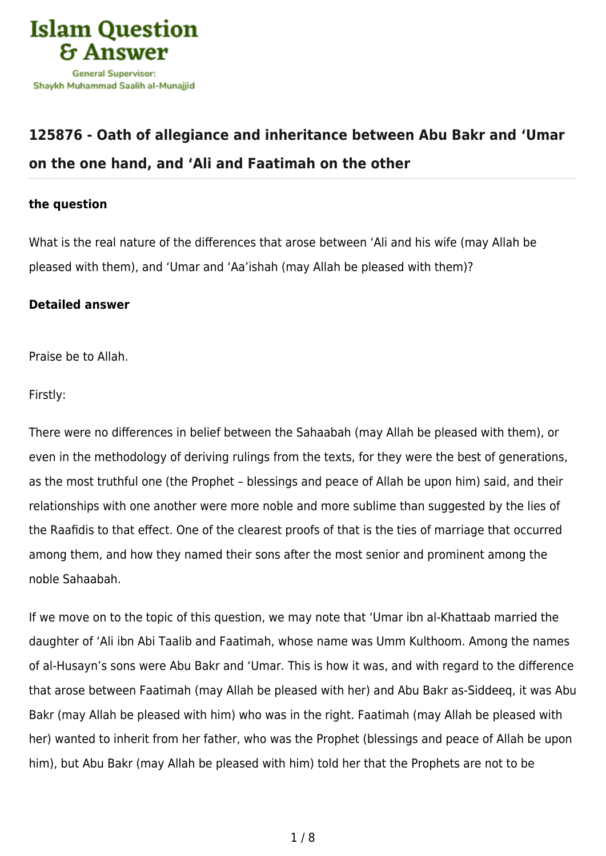

## **[125876 - Oath of allegiance and inheritance between Abu Bakr and 'Umar](https://islamqa.com/en/answers/125876/oath-of-allegiance-and-inheritance-between-abu-bakr-and-umar-on-the-one-hand-and-ali-and-faatimah-on-the-other) [on the one hand, and 'Ali and Faatimah on the other](https://islamqa.com/en/answers/125876/oath-of-allegiance-and-inheritance-between-abu-bakr-and-umar-on-the-one-hand-and-ali-and-faatimah-on-the-other)**

## **the question**

What is the real nature of the differences that arose between 'Ali and his wife (may Allah be pleased with them), and 'Umar and 'Aa'ishah (may Allah be pleased with them)?

## **Detailed answer**

Praise be to Allah.

Firstly:

There were no differences in belief between the Sahaabah (may Allah be pleased with them), or even in the methodology of deriving rulings from the texts, for they were the best of generations, as the most truthful one (the Prophet – blessings and peace of Allah be upon him) said, and their relationships with one another were more noble and more sublime than suggested by the lies of the Raafidis to that effect. One of the clearest proofs of that is the ties of marriage that occurred among them, and how they named their sons after the most senior and prominent among the noble Sahaabah.

If we move on to the topic of this question, we may note that 'Umar ibn al-Khattaab married the daughter of 'Ali ibn Abi Taalib and Faatimah, whose name was Umm Kulthoom. Among the names of al-Husayn's sons were Abu Bakr and 'Umar. This is how it was, and with regard to the difference that arose between Faatimah (may Allah be pleased with her) and Abu Bakr as-Siddeeq, it was Abu Bakr (may Allah be pleased with him) who was in the right. Faatimah (may Allah be pleased with her) wanted to inherit from her father, who was the Prophet (blessings and peace of Allah be upon him), but Abu Bakr (may Allah be pleased with him) told her that the Prophets are not to be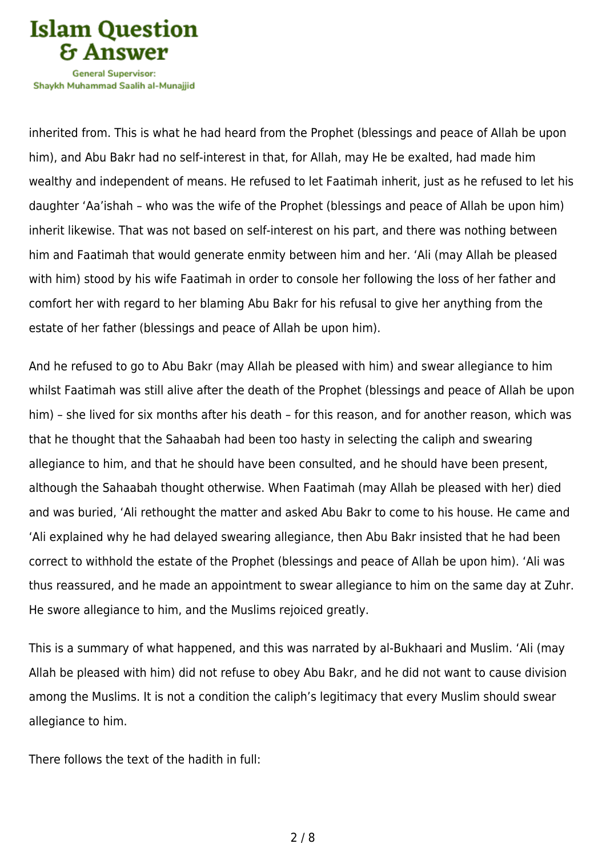

Shavkh Muhammad Saalih al-Munaiiid

inherited from. This is what he had heard from the Prophet (blessings and peace of Allah be upon him), and Abu Bakr had no self-interest in that, for Allah, may He be exalted, had made him wealthy and independent of means. He refused to let Faatimah inherit, just as he refused to let his daughter 'Aa'ishah – who was the wife of the Prophet (blessings and peace of Allah be upon him) inherit likewise. That was not based on self-interest on his part, and there was nothing between him and Faatimah that would generate enmity between him and her. 'Ali (may Allah be pleased with him) stood by his wife Faatimah in order to console her following the loss of her father and comfort her with regard to her blaming Abu Bakr for his refusal to give her anything from the estate of her father (blessings and peace of Allah be upon him).

And he refused to go to Abu Bakr (may Allah be pleased with him) and swear allegiance to him whilst Faatimah was still alive after the death of the Prophet (blessings and peace of Allah be upon him) – she lived for six months after his death – for this reason, and for another reason, which was that he thought that the Sahaabah had been too hasty in selecting the caliph and swearing allegiance to him, and that he should have been consulted, and he should have been present, although the Sahaabah thought otherwise. When Faatimah (may Allah be pleased with her) died and was buried, 'Ali rethought the matter and asked Abu Bakr to come to his house. He came and 'Ali explained why he had delayed swearing allegiance, then Abu Bakr insisted that he had been correct to withhold the estate of the Prophet (blessings and peace of Allah be upon him). 'Ali was thus reassured, and he made an appointment to swear allegiance to him on the same day at Zuhr. He swore allegiance to him, and the Muslims rejoiced greatly.

This is a summary of what happened, and this was narrated by al-Bukhaari and Muslim. 'Ali (may Allah be pleased with him) did not refuse to obey Abu Bakr, and he did not want to cause division among the Muslims. It is not a condition the caliph's legitimacy that every Muslim should swear allegiance to him.

There follows the text of the hadith in full: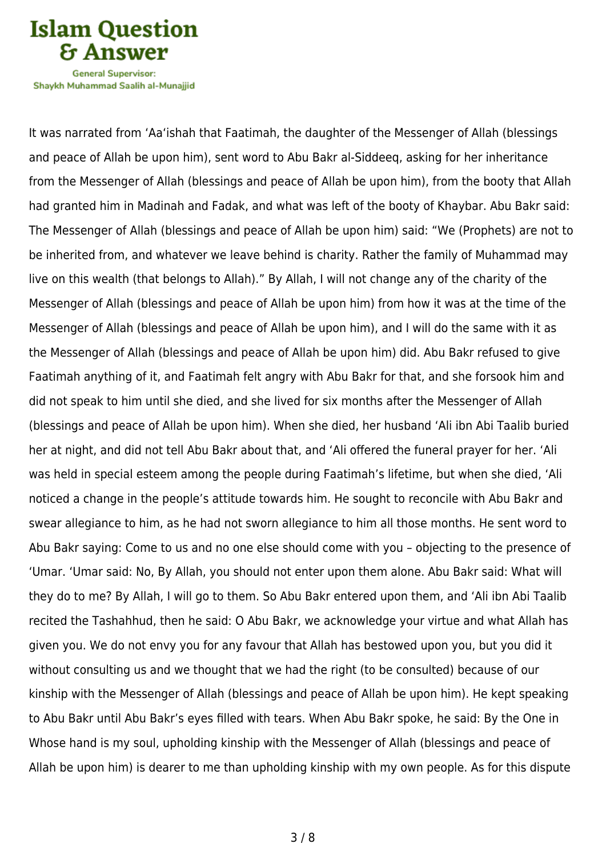**Islam Question General Supervisor:** 

Shavkh Muhammad Saalih al-Munaiiid

It was narrated from 'Aa'ishah that Faatimah, the daughter of the Messenger of Allah (blessings and peace of Allah be upon him), sent word to Abu Bakr al-Siddeeq, asking for her inheritance from the Messenger of Allah (blessings and peace of Allah be upon him), from the booty that Allah had granted him in Madinah and Fadak, and what was left of the booty of Khaybar. Abu Bakr said: The Messenger of Allah (blessings and peace of Allah be upon him) said: "We (Prophets) are not to be inherited from, and whatever we leave behind is charity. Rather the family of Muhammad may live on this wealth (that belongs to Allah)." By Allah, I will not change any of the charity of the Messenger of Allah (blessings and peace of Allah be upon him) from how it was at the time of the Messenger of Allah (blessings and peace of Allah be upon him), and I will do the same with it as the Messenger of Allah (blessings and peace of Allah be upon him) did. Abu Bakr refused to give Faatimah anything of it, and Faatimah felt angry with Abu Bakr for that, and she forsook him and did not speak to him until she died, and she lived for six months after the Messenger of Allah (blessings and peace of Allah be upon him). When she died, her husband 'Ali ibn Abi Taalib buried her at night, and did not tell Abu Bakr about that, and 'Ali offered the funeral prayer for her. 'Ali was held in special esteem among the people during Faatimah's lifetime, but when she died, 'Ali noticed a change in the people's attitude towards him. He sought to reconcile with Abu Bakr and swear allegiance to him, as he had not sworn allegiance to him all those months. He sent word to Abu Bakr saying: Come to us and no one else should come with you – objecting to the presence of 'Umar. 'Umar said: No, By Allah, you should not enter upon them alone. Abu Bakr said: What will they do to me? By Allah, I will go to them. So Abu Bakr entered upon them, and 'Ali ibn Abi Taalib recited the Tashahhud, then he said: O Abu Bakr, we acknowledge your virtue and what Allah has given you. We do not envy you for any favour that Allah has bestowed upon you, but you did it without consulting us and we thought that we had the right (to be consulted) because of our kinship with the Messenger of Allah (blessings and peace of Allah be upon him). He kept speaking to Abu Bakr until Abu Bakr's eyes filled with tears. When Abu Bakr spoke, he said: By the One in Whose hand is my soul, upholding kinship with the Messenger of Allah (blessings and peace of Allah be upon him) is dearer to me than upholding kinship with my own people. As for this dispute

3 / 8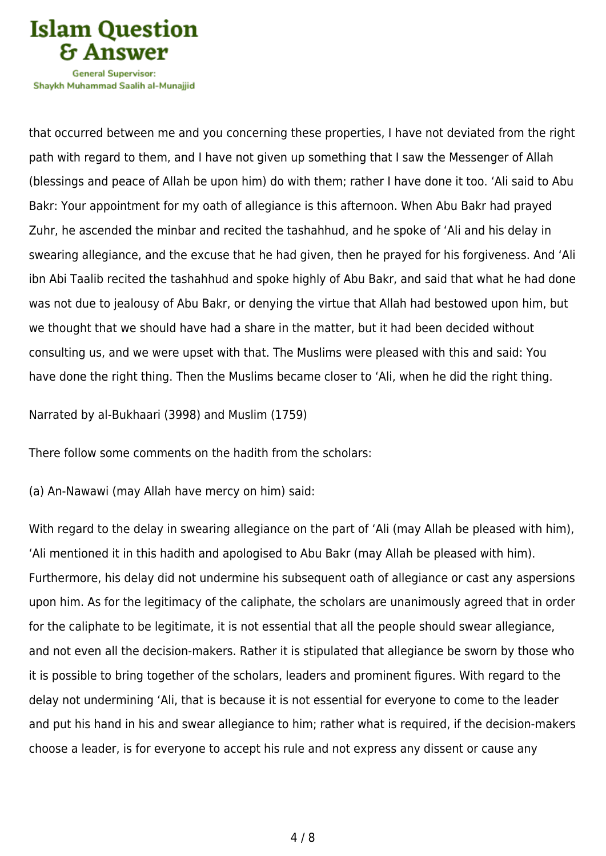

Shavkh Muhammad Saalih al-Munaiiid

that occurred between me and you concerning these properties, I have not deviated from the right path with regard to them, and I have not given up something that I saw the Messenger of Allah (blessings and peace of Allah be upon him) do with them; rather I have done it too. 'Ali said to Abu Bakr: Your appointment for my oath of allegiance is this afternoon. When Abu Bakr had prayed Zuhr, he ascended the minbar and recited the tashahhud, and he spoke of 'Ali and his delay in swearing allegiance, and the excuse that he had given, then he prayed for his forgiveness. And 'Ali ibn Abi Taalib recited the tashahhud and spoke highly of Abu Bakr, and said that what he had done was not due to jealousy of Abu Bakr, or denying the virtue that Allah had bestowed upon him, but we thought that we should have had a share in the matter, but it had been decided without consulting us, and we were upset with that. The Muslims were pleased with this and said: You have done the right thing. Then the Muslims became closer to 'Ali, when he did the right thing.

Narrated by al-Bukhaari (3998) and Muslim (1759)

There follow some comments on the hadith from the scholars:

(a) An-Nawawi (may Allah have mercy on him) said:

With regard to the delay in swearing allegiance on the part of 'Ali (may Allah be pleased with him), 'Ali mentioned it in this hadith and apologised to Abu Bakr (may Allah be pleased with him). Furthermore, his delay did not undermine his subsequent oath of allegiance or cast any aspersions upon him. As for the legitimacy of the caliphate, the scholars are unanimously agreed that in order for the caliphate to be legitimate, it is not essential that all the people should swear allegiance, and not even all the decision-makers. Rather it is stipulated that allegiance be sworn by those who it is possible to bring together of the scholars, leaders and prominent figures. With regard to the delay not undermining 'Ali, that is because it is not essential for everyone to come to the leader and put his hand in his and swear allegiance to him; rather what is required, if the decision-makers choose a leader, is for everyone to accept his rule and not express any dissent or cause any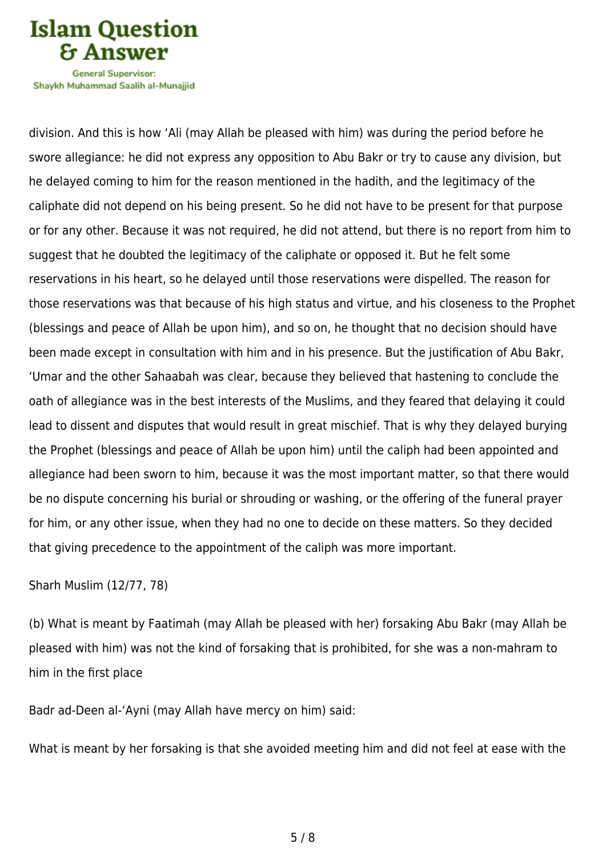

Shavkh Muhammad Saalih al-Munaiiid

division. And this is how 'Ali (may Allah be pleased with him) was during the period before he swore allegiance: he did not express any opposition to Abu Bakr or try to cause any division, but he delayed coming to him for the reason mentioned in the hadith, and the legitimacy of the caliphate did not depend on his being present. So he did not have to be present for that purpose or for any other. Because it was not required, he did not attend, but there is no report from him to suggest that he doubted the legitimacy of the caliphate or opposed it. But he felt some reservations in his heart, so he delayed until those reservations were dispelled. The reason for those reservations was that because of his high status and virtue, and his closeness to the Prophet (blessings and peace of Allah be upon him), and so on, he thought that no decision should have been made except in consultation with him and in his presence. But the justification of Abu Bakr, 'Umar and the other Sahaabah was clear, because they believed that hastening to conclude the oath of allegiance was in the best interests of the Muslims, and they feared that delaying it could lead to dissent and disputes that would result in great mischief. That is why they delayed burying the Prophet (blessings and peace of Allah be upon him) until the caliph had been appointed and allegiance had been sworn to him, because it was the most important matter, so that there would be no dispute concerning his burial or shrouding or washing, or the offering of the funeral prayer for him, or any other issue, when they had no one to decide on these matters. So they decided that giving precedence to the appointment of the caliph was more important.

Sharh Muslim (12/77, 78)

(b) What is meant by Faatimah (may Allah be pleased with her) forsaking Abu Bakr (may Allah be pleased with him) was not the kind of forsaking that is prohibited, for she was a non-mahram to him in the first place

Badr ad-Deen al-'Ayni (may Allah have mercy on him) said:

What is meant by her forsaking is that she avoided meeting him and did not feel at ease with the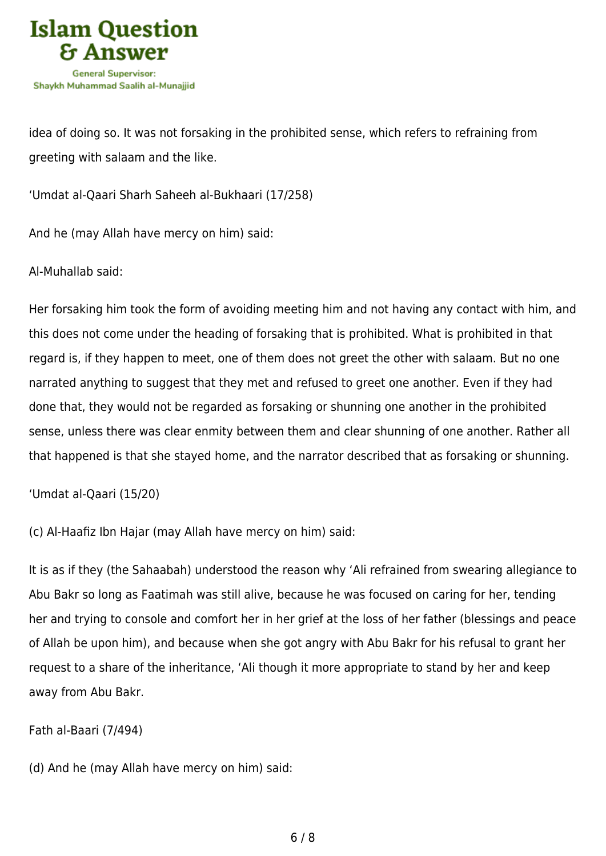

idea of doing so. It was not forsaking in the prohibited sense, which refers to refraining from greeting with salaam and the like.

'Umdat al-Qaari Sharh Saheeh al-Bukhaari (17/258)

And he (may Allah have mercy on him) said:

Al-Muhallab said:

Her forsaking him took the form of avoiding meeting him and not having any contact with him, and this does not come under the heading of forsaking that is prohibited. What is prohibited in that regard is, if they happen to meet, one of them does not greet the other with salaam. But no one narrated anything to suggest that they met and refused to greet one another. Even if they had done that, they would not be regarded as forsaking or shunning one another in the prohibited sense, unless there was clear enmity between them and clear shunning of one another. Rather all that happened is that she stayed home, and the narrator described that as forsaking or shunning.

'Umdat al-Qaari (15/20)

(c) Al-Haafiz Ibn Hajar (may Allah have mercy on him) said:

It is as if they (the Sahaabah) understood the reason why 'Ali refrained from swearing allegiance to Abu Bakr so long as Faatimah was still alive, because he was focused on caring for her, tending her and trying to console and comfort her in her grief at the loss of her father (blessings and peace of Allah be upon him), and because when she got angry with Abu Bakr for his refusal to grant her request to a share of the inheritance, 'Ali though it more appropriate to stand by her and keep away from Abu Bakr.

Fath al-Baari (7/494)

(d) And he (may Allah have mercy on him) said: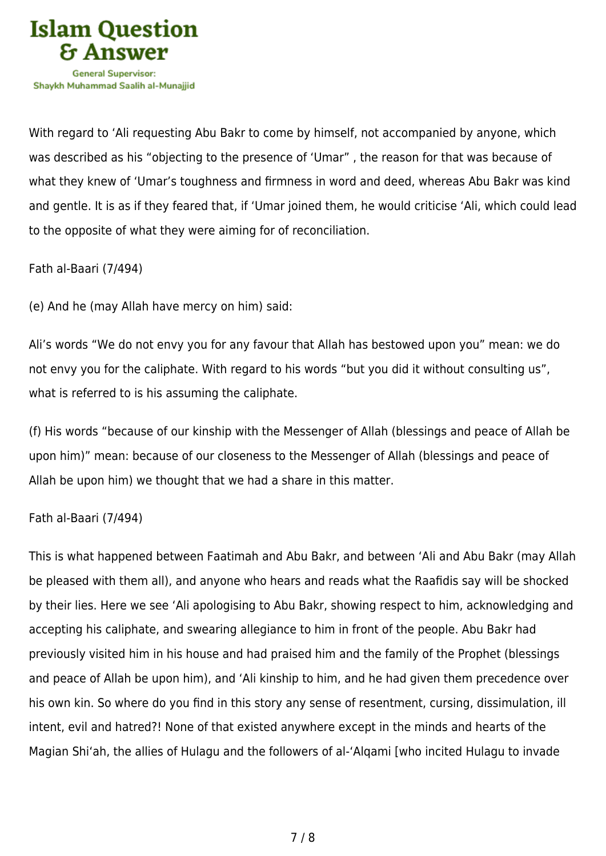

With regard to 'Ali requesting Abu Bakr to come by himself, not accompanied by anyone, which was described as his "objecting to the presence of 'Umar" , the reason for that was because of what they knew of 'Umar's toughness and firmness in word and deed, whereas Abu Bakr was kind and gentle. It is as if they feared that, if 'Umar joined them, he would criticise 'Ali, which could lead to the opposite of what they were aiming for of reconciliation.

Fath al-Baari (7/494)

(e) And he (may Allah have mercy on him) said:

Ali's words "We do not envy you for any favour that Allah has bestowed upon you" mean: we do not envy you for the caliphate. With regard to his words "but you did it without consulting us", what is referred to is his assuming the caliphate.

(f) His words "because of our kinship with the Messenger of Allah (blessings and peace of Allah be upon him)" mean: because of our closeness to the Messenger of Allah (blessings and peace of Allah be upon him) we thought that we had a share in this matter.

## Fath al-Baari (7/494)

This is what happened between Faatimah and Abu Bakr, and between 'Ali and Abu Bakr (may Allah be pleased with them all), and anyone who hears and reads what the Raafidis say will be shocked by their lies. Here we see 'Ali apologising to Abu Bakr, showing respect to him, acknowledging and accepting his caliphate, and swearing allegiance to him in front of the people. Abu Bakr had previously visited him in his house and had praised him and the family of the Prophet (blessings and peace of Allah be upon him), and 'Ali kinship to him, and he had given them precedence over his own kin. So where do you find in this story any sense of resentment, cursing, dissimulation, ill intent, evil and hatred?! None of that existed anywhere except in the minds and hearts of the Magian Shi'ah, the allies of Hulagu and the followers of al-'Alqami [who incited Hulagu to invade